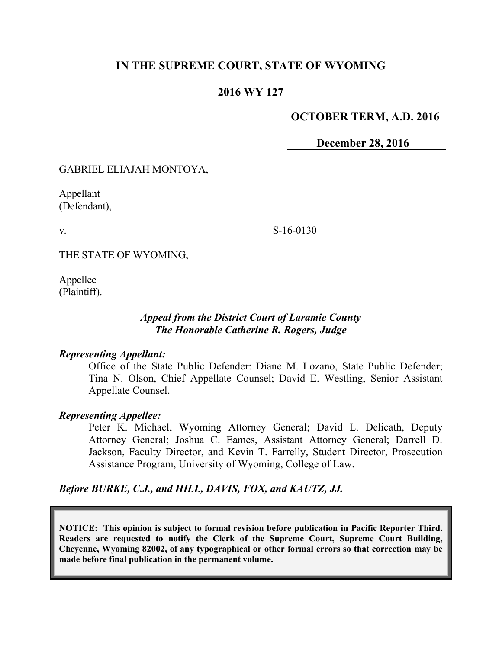# **IN THE SUPREME COURT, STATE OF WYOMING**

## **2016 WY 127**

### **OCTOBER TERM, A.D. 2016**

**December 28, 2016**

## GABRIEL ELIAJAH MONTOYA,

Appellant (Defendant),

v.

S-16-0130

THE STATE OF WYOMING,

Appellee (Plaintiff).

## *Appeal from the District Court of Laramie County The Honorable Catherine R. Rogers, Judge*

#### *Representing Appellant:*

Office of the State Public Defender: Diane M. Lozano, State Public Defender; Tina N. Olson, Chief Appellate Counsel; David E. Westling, Senior Assistant Appellate Counsel.

#### *Representing Appellee:*

Peter K. Michael, Wyoming Attorney General; David L. Delicath, Deputy Attorney General; Joshua C. Eames, Assistant Attorney General; Darrell D. Jackson, Faculty Director, and Kevin T. Farrelly, Student Director, Prosecution Assistance Program, University of Wyoming, College of Law.

#### *Before BURKE, C.J., and HILL, DAVIS, FOX, and KAUTZ, JJ.*

**NOTICE: This opinion is subject to formal revision before publication in Pacific Reporter Third. Readers are requested to notify the Clerk of the Supreme Court, Supreme Court Building, Cheyenne, Wyoming 82002, of any typographical or other formal errors so that correction may be made before final publication in the permanent volume.**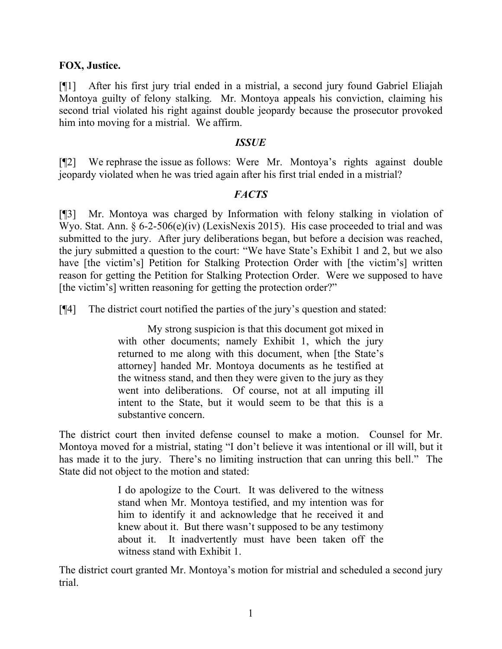### **FOX, Justice.**

[¶1] After his first jury trial ended in a mistrial, a second jury found Gabriel Eliajah Montoya guilty of felony stalking. Mr. Montoya appeals his conviction, claiming his second trial violated his right against double jeopardy because the prosecutor provoked him into moving for a mistrial. We affirm.

### *ISSUE*

[¶2] We rephrase the issue as follows: Were Mr. Montoya's rights against double jeopardy violated when he was tried again after his first trial ended in a mistrial?

# *FACTS*

[¶3] Mr. Montoya was charged by Information with felony stalking in violation of Wyo. Stat. Ann. § 6-2-506(e)(iv) (LexisNexis 2015). His case proceeded to trial and was submitted to the jury. After jury deliberations began, but before a decision was reached, the jury submitted a question to the court: "We have State's Exhibit 1 and 2, but we also have [the victim's] Petition for Stalking Protection Order with [the victim's] written reason for getting the Petition for Stalking Protection Order. Were we supposed to have [the victim's] written reasoning for getting the protection order?"

[¶4] The district court notified the parties of the jury's question and stated:

My strong suspicion is that this document got mixed in with other documents; namely Exhibit 1, which the jury returned to me along with this document, when [the State's attorney] handed Mr. Montoya documents as he testified at the witness stand, and then they were given to the jury as they went into deliberations. Of course, not at all imputing ill intent to the State, but it would seem to be that this is a substantive concern.

The district court then invited defense counsel to make a motion. Counsel for Mr. Montoya moved for a mistrial, stating "I don't believe it was intentional or ill will, but it has made it to the jury. There's no limiting instruction that can unring this bell." The State did not object to the motion and stated:

> I do apologize to the Court. It was delivered to the witness stand when Mr. Montoya testified, and my intention was for him to identify it and acknowledge that he received it and knew about it. But there wasn't supposed to be any testimony about it. It inadvertently must have been taken off the witness stand with Exhibit 1.

The district court granted Mr. Montoya's motion for mistrial and scheduled a second jury trial.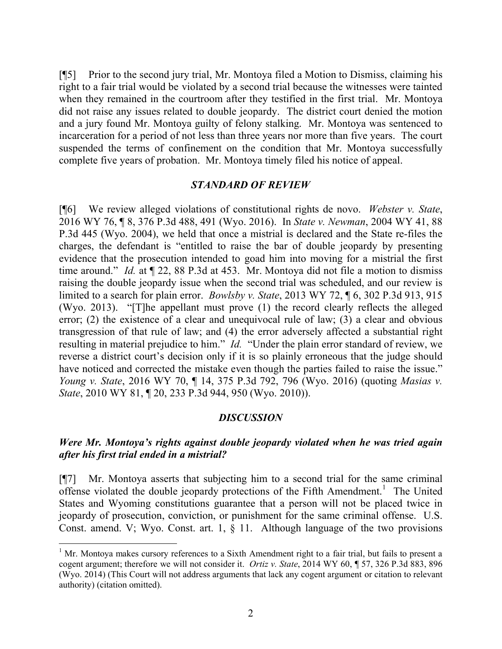[¶5] Prior to the second jury trial, Mr. Montoya filed a Motion to Dismiss, claiming his right to a fair trial would be violated by a second trial because the witnesses were tainted when they remained in the courtroom after they testified in the first trial. Mr. Montoya did not raise any issues related to double jeopardy. The district court denied the motion and a jury found Mr. Montoya guilty of felony stalking. Mr. Montoya was sentenced to incarceration for a period of not less than three years nor more than five years. The court suspended the terms of confinement on the condition that Mr. Montoya successfully complete five years of probation. Mr. Montoya timely filed his notice of appeal.

#### *STANDARD OF REVIEW*

[¶6] We review alleged violations of constitutional rights de novo. *Webster v. State*, 2016 WY 76, ¶ 8, 376 P.3d 488, 491 (Wyo. 2016). In *State v. Newman*, 2004 WY 41, 88 P.3d 445 (Wyo. 2004), we held that once a mistrial is declared and the State re-files the charges, the defendant is "entitled to raise the bar of double jeopardy by presenting evidence that the prosecution intended to goad him into moving for a mistrial the first time around." *Id.* at ¶ 22, 88 P.3d at 453. Mr. Montoya did not file a motion to dismiss raising the double jeopardy issue when the second trial was scheduled, and our review is limited to a search for plain error. *Bowlsby v. State*, 2013 WY 72, ¶ 6, 302 P.3d 913, 915 (Wyo. 2013). "[T]he appellant must prove (1) the record clearly reflects the alleged error; (2) the existence of a clear and unequivocal rule of law; (3) a clear and obvious transgression of that rule of law; and (4) the error adversely affected a substantial right resulting in material prejudice to him." *Id.* "Under the plain error standard of review, we reverse a district court's decision only if it is so plainly erroneous that the judge should have noticed and corrected the mistake even though the parties failed to raise the issue." *Young v. State*, 2016 WY 70, ¶ 14, 375 P.3d 792, 796 (Wyo. 2016) (quoting *Masias v. State*, 2010 WY 81, ¶ 20, 233 P.3d 944, 950 (Wyo. 2010)).

#### *DISCUSSION*

# *Were Mr. Montoya's rights against double jeopardy violated when he was tried again after his first trial ended in a mistrial?*

[¶7] Mr. Montoya asserts that subjecting him to a second trial for the same criminal offense violated the double jeopardy protections of the Fifth Amendment.<sup>1</sup> The United States and Wyoming constitutions guarantee that a person will not be placed twice in jeopardy of prosecution, conviction, or punishment for the same criminal offense. U.S. Const. amend. V; Wyo. Const. art. 1,  $\S$  11. Although language of the two provisions

<sup>&</sup>lt;sup>1</sup> Mr. Montoya makes cursory references to a Sixth Amendment right to a fair trial, but fails to present a cogent argument; therefore we will not consider it. *Ortiz v. State*, 2014 WY 60, ¶ 57, 326 P.3d 883, 896 (Wyo. 2014) (This Court will not address arguments that lack any cogent argument or citation to relevant authority) (citation omitted).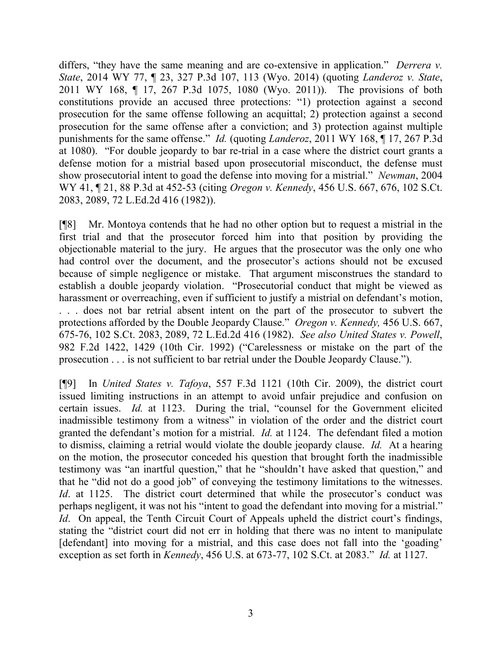differs, "they have the same meaning and are co-extensive in application." *Derrera v. State*, 2014 WY 77, ¶ 23, 327 P.3d 107, 113 (Wyo. 2014) (quoting *Landeroz v. State*, 2011 WY 168, ¶ 17, 267 P.3d 1075, 1080 (Wyo. 2011)). The provisions of both constitutions provide an accused three protections: "1) protection against a second prosecution for the same offense following an acquittal; 2) protection against a second prosecution for the same offense after a conviction; and 3) protection against multiple punishments for the same offense." *Id.* (quoting *Landeroz*, 2011 WY 168, ¶ 17, 267 P.3d at 1080). "For double jeopardy to bar re-trial in a case where the district court grants a defense motion for a mistrial based upon prosecutorial misconduct, the defense must show prosecutorial intent to goad the defense into moving for a mistrial." *Newman*, 2004 WY 41, ¶ 21, 88 P.3d at 452-53 (citing *Oregon v. Kennedy*, 456 U.S. 667, 676, 102 S.Ct. 2083, 2089, 72 L.Ed.2d 416 (1982)).

[¶8] Mr. Montoya contends that he had no other option but to request a mistrial in the first trial and that the prosecutor forced him into that position by providing the objectionable material to the jury. He argues that the prosecutor was the only one who had control over the document, and the prosecutor's actions should not be excused because of simple negligence or mistake. That argument misconstrues the standard to establish a double jeopardy violation. "Prosecutorial conduct that might be viewed as harassment or overreaching, even if sufficient to justify a mistrial on defendant's motion, . . . does not bar retrial absent intent on the part of the prosecutor to subvert the protections afforded by the Double Jeopardy Clause." *Oregon v. Kennedy,* 456 U.S. 667, 675-76, 102 S.Ct. 2083, 2089, 72 L.Ed.2d 416 (1982). *See also United States v. Powell*, 982 F.2d 1422, 1429 (10th Cir. 1992) ("Carelessness or mistake on the part of the prosecution . . . is not sufficient to bar retrial under the Double Jeopardy Clause.").

[¶9] In *United States v. Tafoya*, 557 F.3d 1121 (10th Cir. 2009), the district court issued limiting instructions in an attempt to avoid unfair prejudice and confusion on certain issues. *Id.* at 1123. During the trial, "counsel for the Government elicited inadmissible testimony from a witness" in violation of the order and the district court granted the defendant's motion for a mistrial. *Id.* at 1124. The defendant filed a motion to dismiss, claiming a retrial would violate the double jeopardy clause. *Id.* At a hearing on the motion, the prosecutor conceded his question that brought forth the inadmissible testimony was "an inartful question," that he "shouldn't have asked that question," and that he "did not do a good job" of conveying the testimony limitations to the witnesses. *Id.* at 1125. The district court determined that while the prosecutor's conduct was perhaps negligent, it was not his "intent to goad the defendant into moving for a mistrial." *Id.* On appeal, the Tenth Circuit Court of Appeals upheld the district court's findings, stating the "district court did not err in holding that there was no intent to manipulate [defendant] into moving for a mistrial, and this case does not fall into the 'goading' exception as set forth in *Kennedy*, 456 U.S. at 673-77, 102 S.Ct. at 2083." *Id.* at 1127.